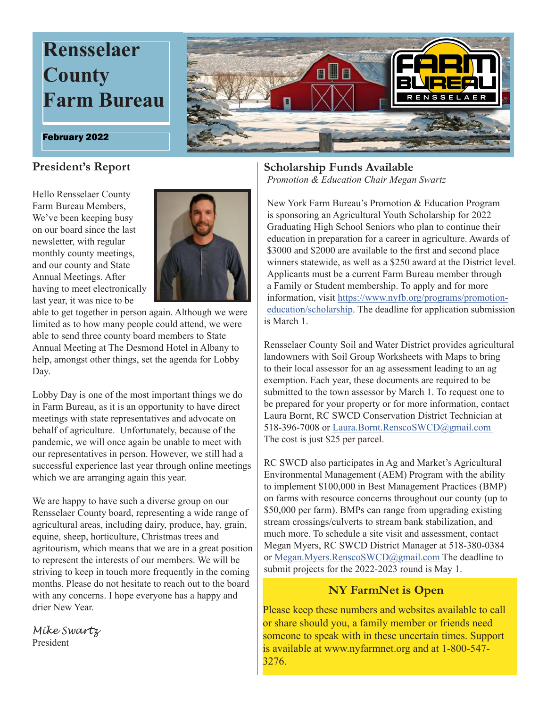

### **President's Report**

Hello Rensselaer County Farm Bureau Members, We've been keeping busy on our board since the last newsletter, with regular monthly county meetings, and our county and State Annual Meetings. After having to meet electronically last year, it was nice to be



able to get together in person again. Although we were limited as to how many people could attend, we were able to send three county board members to State Annual Meeting at The Desmond Hotel in Albany to help, amongst other things, set the agenda for Lobby Day.

Lobby Day is one of the most important things we do in Farm Bureau, as it is an opportunity to have direct meetings with state representatives and advocate on behalf of agriculture. Unfortunately, because of the pandemic, we will once again be unable to meet with our representatives in person. However, we still had a successful experience last year through online meetings which we are arranging again this year.

We are happy to have such a diverse group on our Rensselaer County board, representing a wide range of agricultural areas, including dairy, produce, hay, grain, equine, sheep, horticulture, Christmas trees and agritourism, which means that we are in a great position to represent the interests of our members. We will be striving to keep in touch more frequently in the coming months. Please do not hesitate to reach out to the board with any concerns. I hope everyone has a happy and drier New Year.

*Mike Swartz* President

### **Scholarship Funds Available** *Promotion & Education Chair Megan Swartz*

New York Farm Bureau's Promotion & Education Program is sponsoring an Agricultural Youth Scholarship for 2022 Graduating High School Seniors who plan to continue their education in preparation for a career in agriculture. Awards of \$3000 and \$2000 are available to the first and second place winners statewide, as well as a \$250 award at the District level. Applicants must be a current Farm Bureau member through a Family or Student membership. To apply and for more information, visit https://www.nyfb.org/programs/promotioneducation/scholarship. The deadline for application submission is March 1.

Rensselaer County Soil and Water District provides agricultural landowners with Soil Group Worksheets with Maps to bring to their local assessor for an ag assessment leading to an ag exemption. Each year, these documents are required to be submitted to the town assessor by March 1. To request one to be prepared for your property or for more information, contact Laura Bornt, RC SWCD Conservation District Technician at 518-396-7008 or Laura.Bornt.RenscoSWCD@gmail.com The cost is just \$25 per parcel.

RC SWCD also participates in Ag and Market's Agricultural Environmental Management (AEM) Program with the ability to implement \$100,000 in Best Management Practices (BMP) on farms with resource concerns throughout our county (up to \$50,000 per farm). BMPs can range from upgrading existing stream crossings/culverts to stream bank stabilization, and much more. To schedule a site visit and assessment, contact Megan Myers, RC SWCD District Manager at 518-380-0384 or Megan.Myers.RenscoSWCD@gmail.com The deadline to submit projects for the 2022-2023 round is May 1.

## **NY FarmNet is Open**

Please keep these numbers and websites available to call or share should you, a family member or friends need someone to speak with in these uncertain times. Support is available at www.nyfarmnet.org and at 1-800-547- 3276.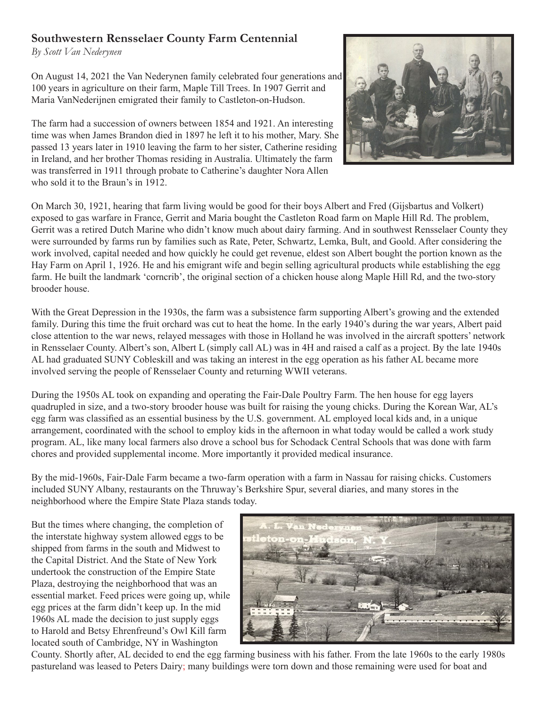# **Southwestern Rensselaer County Farm Centennial**

*By Scott Van Nederynen*

On August 14, 2021 the Van Nederynen family celebrated four generations and 100 years in agriculture on their farm, Maple Till Trees. In 1907 Gerrit and Maria VanNederijnen emigrated their family to Castleton-on-Hudson.

The farm had a succession of owners between 1854 and 1921. An interesting time was when James Brandon died in 1897 he left it to his mother, Mary. She passed 13 years later in 1910 leaving the farm to her sister, Catherine residing in Ireland, and her brother Thomas residing in Australia. Ultimately the farm was transferred in 1911 through probate to Catherine's daughter Nora Allen who sold it to the Braun's in 1912.



On March 30, 1921, hearing that farm living would be good for their boys Albert and Fred (Gijsbartus and Volkert) exposed to gas warfare in France, Gerrit and Maria bought the Castleton Road farm on Maple Hill Rd. The problem, Gerrit was a retired Dutch Marine who didn't know much about dairy farming. And in southwest Rensselaer County they were surrounded by farms run by families such as Rate, Peter, Schwartz, Lemka, Bult, and Goold. After considering the work involved, capital needed and how quickly he could get revenue, eldest son Albert bought the portion known as the Hay Farm on April 1, 1926. He and his emigrant wife and begin selling agricultural products while establishing the egg farm. He built the landmark 'corncrib', the original section of a chicken house along Maple Hill Rd, and the two-story brooder house.

With the Great Depression in the 1930s, the farm was a subsistence farm supporting Albert's growing and the extended family. During this time the fruit orchard was cut to heat the home. In the early 1940's during the war years, Albert paid close attention to the war news, relayed messages with those in Holland he was involved in the aircraft spotters' network in Rensselaer County. Albert's son, Albert L (simply call AL) was in 4H and raised a calf as a project. By the late 1940s AL had graduated SUNY Cobleskill and was taking an interest in the egg operation as his father AL became more involved serving the people of Rensselaer County and returning WWII veterans.

During the 1950s AL took on expanding and operating the Fair-Dale Poultry Farm. The hen house for egg layers quadrupled in size, and a two-story brooder house was built for raising the young chicks. During the Korean War, AL's egg farm was classified as an essential business by the U.S. government. AL employed local kids and, in a unique arrangement, coordinated with the school to employ kids in the afternoon in what today would be called a work study program. AL, like many local farmers also drove a school bus for Schodack Central Schools that was done with farm chores and provided supplemental income. More importantly it provided medical insurance.

By the mid-1960s, Fair-Dale Farm became a two-farm operation with a farm in Nassau for raising chicks. Customers included SUNY Albany, restaurants on the Thruway's Berkshire Spur, several diaries, and many stores in the neighborhood where the Empire State Plaza stands today.

But the times where changing, the completion of the interstate highway system allowed eggs to be shipped from farms in the south and Midwest to the Capital District. And the State of New York undertook the construction of the Empire State Plaza, destroying the neighborhood that was an essential market. Feed prices were going up, while egg prices at the farm didn't keep up. In the mid 1960s AL made the decision to just supply eggs to Harold and Betsy Ehrenfreund's Owl Kill farm located south of Cambridge, NY in Washington



County. Shortly after, AL decided to end the egg farming business with his father. From the late 1960s to the early 1980s pastureland was leased to Peters Dairy; many buildings were torn down and those remaining were used for boat and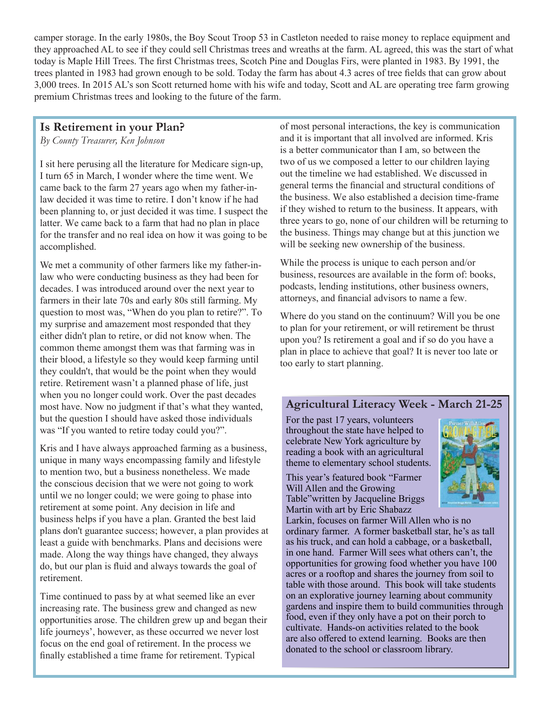camper storage. In the early 1980s, the Boy Scout Troop 53 in Castleton needed to raise money to replace equipment and they approached AL to see if they could sell Christmas trees and wreaths at the farm. AL agreed, this was the start of what today is Maple Hill Trees. The first Christmas trees, Scotch Pine and Douglas Firs, were planted in 1983. By 1991, the trees planted in 1983 had grown enough to be sold. Today the farm has about 4.3 acres of tree fields that can grow about 3,000 trees. In 2015 AL's son Scott returned home with his wife and today, Scott and AL are operating tree farm growing premium Christmas trees and looking to the future of the farm.

## **Is Retirement in your Plan?**

*By County Treasurer, Ken Johnson*

I sit here perusing all the literature for Medicare sign-up, I turn 65 in March, I wonder where the time went. We came back to the farm 27 years ago when my father-inlaw decided it was time to retire. I don't know if he had been planning to, or just decided it was time. I suspect the latter. We came back to a farm that had no plan in place for the transfer and no real idea on how it was going to be accomplished.

We met a community of other farmers like my father-inlaw who were conducting business as they had been for decades. I was introduced around over the next year to farmers in their late 70s and early 80s still farming. My question to most was, "When do you plan to retire?". To my surprise and amazement most responded that they either didn't plan to retire, or did not know when. The common theme amongst them was that farming was in their blood, a lifestyle so they would keep farming until they couldn't, that would be the point when they would retire. Retirement wasn't a planned phase of life, just when you no longer could work. Over the past decades most have. Now no judgment if that's what they wanted, but the question I should have asked those individuals was "If you wanted to retire today could you?".

Kris and I have always approached farming as a business, unique in many ways encompassing family and lifestyle to mention two, but a business nonetheless. We made the conscious decision that we were not going to work until we no longer could; we were going to phase into retirement at some point. Any decision in life and business helps if you have a plan. Granted the best laid plans don't guarantee success; however, a plan provides at least a guide with benchmarks. Plans and decisions were made. Along the way things have changed, they always do, but our plan is fluid and always towards the goal of retirement.

Time continued to pass by at what seemed like an ever increasing rate. The business grew and changed as new opportunities arose. The children grew up and began their life journeys', however, as these occurred we never lost focus on the end goal of retirement. In the process we finally established a time frame for retirement. Typical

of most personal interactions, the key is communication and it is important that all involved are informed. Kris is a better communicator than I am, so between the two of us we composed a letter to our children laying out the timeline we had established. We discussed in general terms the financial and structural conditions of the business. We also established a decision time-frame if they wished to return to the business. It appears, with three years to go, none of our children will be returning to the business. Things may change but at this junction we will be seeking new ownership of the business.

While the process is unique to each person and/or business, resources are available in the form of: books, podcasts, lending institutions, other business owners, attorneys, and financial advisors to name a few.

Where do you stand on the continuum? Will you be one to plan for your retirement, or will retirement be thrust upon you? Is retirement a goal and if so do you have a plan in place to achieve that goal? It is never too late or too early to start planning.

## **Agricultural Literacy Week - March 21-25**

For the past 17 years, volunteers throughout the state have helped to celebrate New York agriculture by reading a book with an agricultural theme to elementary school students.

This year's featured book "Farmer Will Allen and the Growing Table"written by Jacqueline Briggs Martin with art by Eric Shabazz



Larkin, focuses on farmer Will Allen who is no ordinary farmer. A former basketball star, he's as tall as his truck, and can hold a cabbage, or a basketball, in one hand. Farmer Will sees what others can't, the opportunities for growing food whether you have 100 acres or a rooftop and shares the journey from soil to table with those around. This book will take students on an explorative journey learning about community gardens and inspire them to build communities through food, even if they only have a pot on their porch to cultivate. Hands-on activities related to the book are also offered to extend learning. Books are then donated to the school or classroom library.